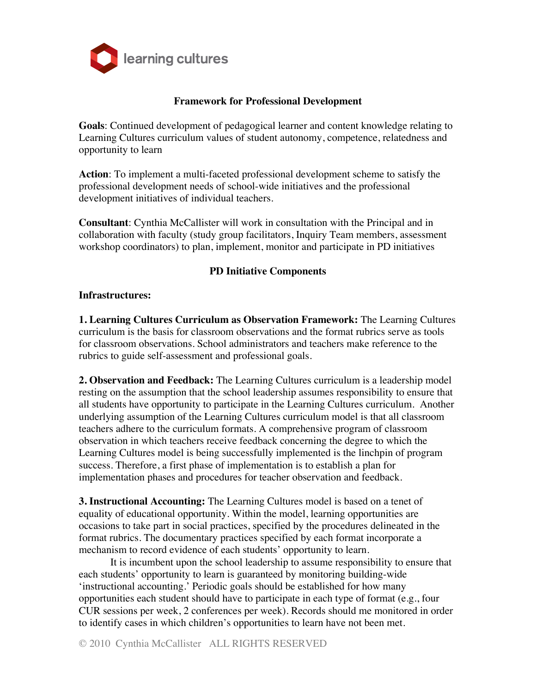

### **Framework for Professional Development**

**Goals**: Continued development of pedagogical learner and content knowledge relating to Learning Cultures curriculum values of student autonomy, competence, relatedness and opportunity to learn

**Action**: To implement a multi-faceted professional development scheme to satisfy the professional development needs of school-wide initiatives and the professional development initiatives of individual teachers.

**Consultant**: Cynthia McCallister will work in consultation with the Principal and in collaboration with faculty (study group facilitators, Inquiry Team members, assessment workshop coordinators) to plan, implement, monitor and participate in PD initiatives

## **PD Initiative Components**

#### **Infrastructures:**

**1. Learning Cultures Curriculum as Observation Framework:** The Learning Cultures curriculum is the basis for classroom observations and the format rubrics serve as tools for classroom observations. School administrators and teachers make reference to the rubrics to guide self-assessment and professional goals.

**2. Observation and Feedback:** The Learning Cultures curriculum is a leadership model resting on the assumption that the school leadership assumes responsibility to ensure that all students have opportunity to participate in the Learning Cultures curriculum. Another underlying assumption of the Learning Cultures curriculum model is that all classroom teachers adhere to the curriculum formats. A comprehensive program of classroom observation in which teachers receive feedback concerning the degree to which the Learning Cultures model is being successfully implemented is the linchpin of program success. Therefore, a first phase of implementation is to establish a plan for implementation phases and procedures for teacher observation and feedback.

**3. Instructional Accounting:** The Learning Cultures model is based on a tenet of equality of educational opportunity. Within the model, learning opportunities are occasions to take part in social practices, specified by the procedures delineated in the format rubrics. The documentary practices specified by each format incorporate a mechanism to record evidence of each students' opportunity to learn.

It is incumbent upon the school leadership to assume responsibility to ensure that each students' opportunity to learn is guaranteed by monitoring building-wide 'instructional accounting.' Periodic goals should be established for how many opportunities each student should have to participate in each type of format (e.g., four CUR sessions per week, 2 conferences per week). Records should me monitored in order to identify cases in which children's opportunities to learn have not been met.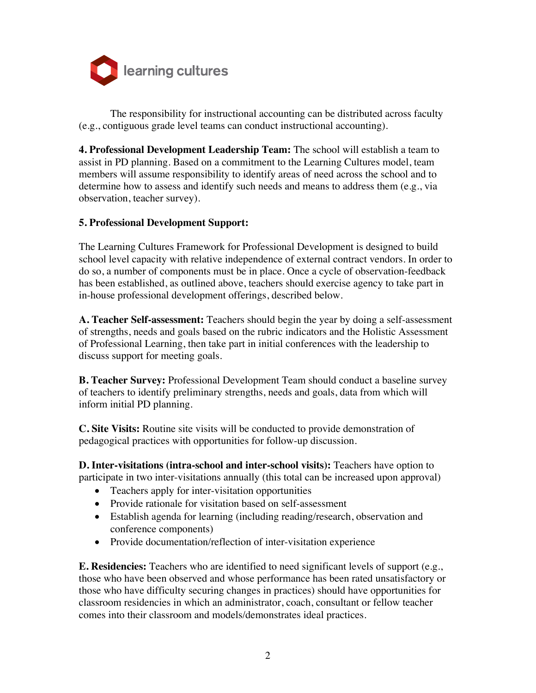

The responsibility for instructional accounting can be distributed across faculty (e.g., contiguous grade level teams can conduct instructional accounting).

**4. Professional Development Leadership Team:** The school will establish a team to assist in PD planning. Based on a commitment to the Learning Cultures model, team members will assume responsibility to identify areas of need across the school and to determine how to assess and identify such needs and means to address them (e.g., via observation, teacher survey).

#### **5. Professional Development Support:**

The Learning Cultures Framework for Professional Development is designed to build school level capacity with relative independence of external contract vendors. In order to do so, a number of components must be in place. Once a cycle of observation-feedback has been established, as outlined above, teachers should exercise agency to take part in in-house professional development offerings, described below.

**A. Teacher Self-assessment:** Teachers should begin the year by doing a self-assessment of strengths, needs and goals based on the rubric indicators and the Holistic Assessment of Professional Learning, then take part in initial conferences with the leadership to discuss support for meeting goals.

**B. Teacher Survey:** Professional Development Team should conduct a baseline survey of teachers to identify preliminary strengths, needs and goals, data from which will inform initial PD planning.

**C. Site Visits:** Routine site visits will be conducted to provide demonstration of pedagogical practices with opportunities for follow-up discussion.

**D. Inter-visitations (intra-school and inter-school visits):** Teachers have option to participate in two inter-visitations annually (this total can be increased upon approval)

- Teachers apply for inter-visitation opportunities
- Provide rationale for visitation based on self-assessment
- Establish agenda for learning (including reading/research, observation and conference components)
- Provide documentation/reflection of inter-visitation experience

**E. Residencies:** Teachers who are identified to need significant levels of support (e.g., those who have been observed and whose performance has been rated unsatisfactory or those who have difficulty securing changes in practices) should have opportunities for classroom residencies in which an administrator, coach, consultant or fellow teacher comes into their classroom and models/demonstrates ideal practices.